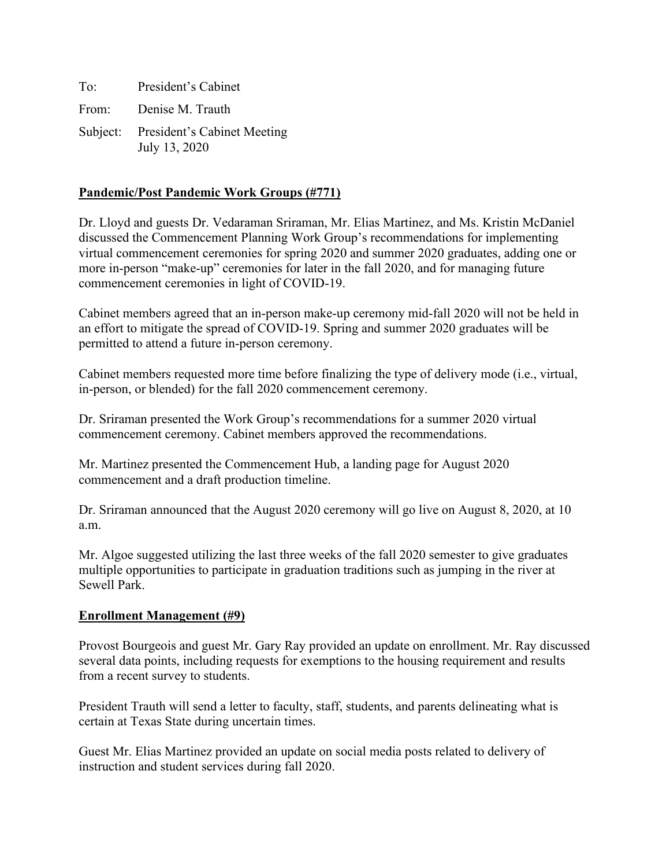To: President's Cabinet From: Denise M. Trauth Subject: President's Cabinet Meeting July 13, 2020

# **Pandemic/Post Pandemic Work Groups (#771)**

Dr. Lloyd and guests Dr. Vedaraman Sriraman, Mr. Elias Martinez, and Ms. Kristin McDaniel discussed the Commencement Planning Work Group's recommendations for implementing virtual commencement ceremonies for spring 2020 and summer 2020 graduates, adding one or more in-person "make-up" ceremonies for later in the fall 2020, and for managing future commencement ceremonies in light of COVID-19.

Cabinet members agreed that an in-person make-up ceremony mid-fall 2020 will not be held in an effort to mitigate the spread of COVID-19. Spring and summer 2020 graduates will be permitted to attend a future in-person ceremony.

Cabinet members requested more time before finalizing the type of delivery mode (i.e., virtual, in-person, or blended) for the fall 2020 commencement ceremony.

Dr. Sriraman presented the Work Group's recommendations for a summer 2020 virtual commencement ceremony. Cabinet members approved the recommendations.

Mr. Martinez presented the Commencement Hub, a landing page for August 2020 commencement and a draft production timeline.

Dr. Sriraman announced that the August 2020 ceremony will go live on August 8, 2020, at 10 a.m.

Mr. Algoe suggested utilizing the last three weeks of the fall 2020 semester to give graduates multiple opportunities to participate in graduation traditions such as jumping in the river at Sewell Park.

## **Enrollment Management (#9)**

Provost Bourgeois and guest Mr. Gary Ray provided an update on enrollment. Mr. Ray discussed several data points, including requests for exemptions to the housing requirement and results from a recent survey to students.

President Trauth will send a letter to faculty, staff, students, and parents delineating what is certain at Texas State during uncertain times.

Guest Mr. Elias Martinez provided an update on social media posts related to delivery of instruction and student services during fall 2020.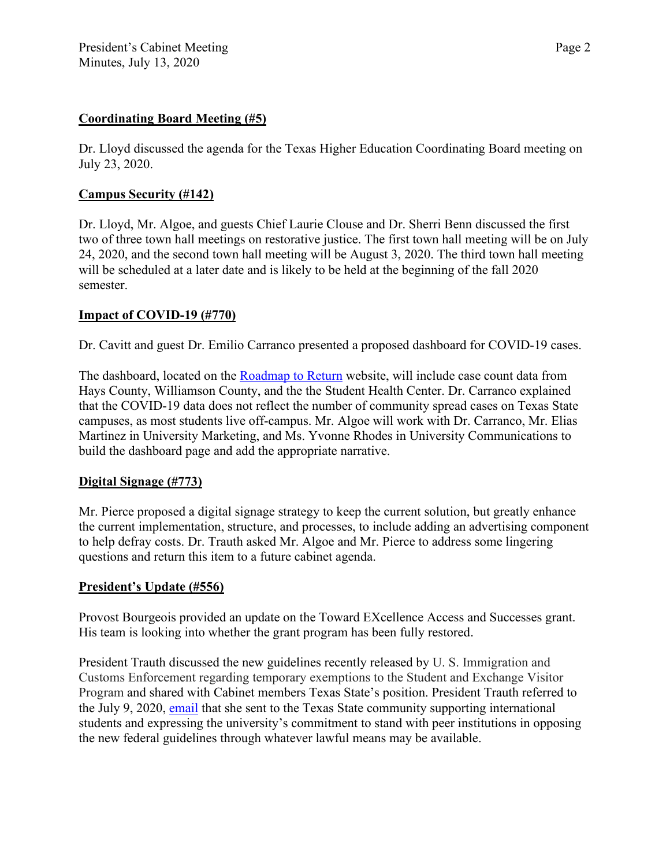## **Coordinating Board Meeting (#5)**

Dr. Lloyd discussed the agenda for the Texas Higher Education Coordinating Board meeting on July 23, 2020.

### **Campus Security (#142)**

Dr. Lloyd, Mr. Algoe, and guests Chief Laurie Clouse and Dr. Sherri Benn discussed the first two of three town hall meetings on restorative justice. The first town hall meeting will be on July 24, 2020, and the second town hall meeting will be August 3, 2020. The third town hall meeting will be scheduled at a later date and is likely to be held at the beginning of the fall 2020 semester.

### **Impact of COVID-19 (#770)**

Dr. Cavitt and guest Dr. Emilio Carranco presented a proposed dashboard for COVID-19 cases.

The dashboard, located on the [Roadmap to Return](https://www.txstate.edu/coronavirus/road-map.html) website, will include case count data from Hays County, Williamson County, and the the Student Health Center. Dr. Carranco explained that the COVID-19 data does not reflect the number of community spread cases on Texas State campuses, as most students live off-campus. Mr. Algoe will work with Dr. Carranco, Mr. Elias Martinez in University Marketing, and Ms. Yvonne Rhodes in University Communications to build the dashboard page and add the appropriate narrative.

#### **Digital Signage (#773)**

Mr. Pierce proposed a digital signage strategy to keep the current solution, but greatly enhance the current implementation, structure, and processes, to include adding an advertising component to help defray costs. Dr. Trauth asked Mr. Algoe and Mr. Pierce to address some lingering questions and return this item to a future cabinet agenda.

#### **President's Update (#556)**

Provost Bourgeois provided an update on the Toward EXcellence Access and Successes grant. His team is looking into whether the grant program has been fully restored.

President Trauth discussed the new guidelines recently released by U. S. Immigration and Customs Enforcement regarding temporary exemptions to the Student and Exchange Visitor Program and shared with Cabinet members Texas State's position. President Trauth referred to the July 9, 2020, [email](https://www.president.txstate.edu/communications/sevp-statement.html) that she sent to the Texas State community supporting international students and expressing the university's commitment to stand with peer institutions in opposing the new federal guidelines through whatever lawful means may be available.